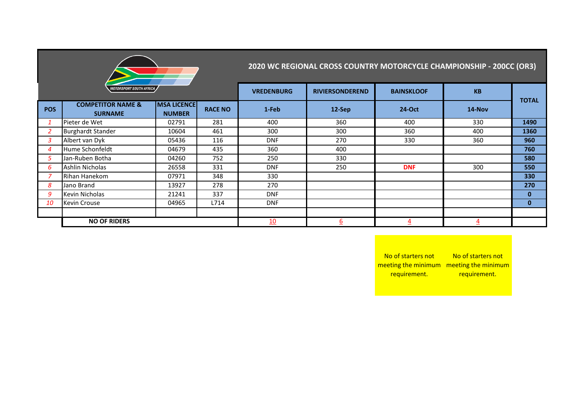|                                       |                                                |                              |                | 2020 WC REGIONAL CROSS COUNTRY MOTORCYCLE CHAMPIONSHIP - 200CC (OR3) |                        |                   |           |              |  |
|---------------------------------------|------------------------------------------------|------------------------------|----------------|----------------------------------------------------------------------|------------------------|-------------------|-----------|--------------|--|
| <i><b>MOTORSPORT SOUTH AFRICA</b></i> |                                                |                              |                | <b>VREDENBURG</b>                                                    | <b>RIVIERSONDEREND</b> | <b>BAINSKLOOF</b> | <b>KB</b> |              |  |
| <b>POS</b>                            | <b>COMPETITOR NAME &amp;</b><br><b>SURNAME</b> | MSA LICENCE<br><b>NUMBER</b> | <b>RACE NO</b> | 1-Feb                                                                | 12-Sep                 | 24-Oct            | 14-Nov    | <b>TOTAL</b> |  |
| $\mathbf{1}$                          | Pieter de Wet                                  | 02791                        | 281            | 400                                                                  | 360                    | 400               | 330       | 1490         |  |
|                                       | <b>Burghardt Stander</b>                       | 10604                        | 461            | 300                                                                  | 300                    | 360               | 400       | 1360         |  |
| 3                                     | Albert van Dyk                                 | 05436                        | 116            | <b>DNF</b>                                                           | 270                    | 330               | 360       | 960          |  |
| 4                                     | Hume Schonfeldt                                | 04679                        | 435            | 360                                                                  | 400                    |                   |           | 760          |  |
| 5.                                    | Jan-Ruben Botha                                | 04260                        | 752            | 250                                                                  | 330                    |                   |           | 580          |  |
| 6                                     | Ashlin Nicholas                                | 26558                        | 331            | <b>DNF</b>                                                           | 250                    | <b>DNF</b>        | 300       | 550          |  |
|                                       | Rihan Hanekom                                  | 07971                        | 348            | 330                                                                  |                        |                   |           | 330          |  |
| 8                                     | Jano Brand                                     | 13927                        | 278            | 270                                                                  |                        |                   |           | 270          |  |
| 9                                     | Kevin Nicholas                                 | 21241                        | 337            | <b>DNF</b>                                                           |                        |                   |           | $\mathbf{0}$ |  |
| 10                                    | <b>Kevin Crouse</b>                            | 04965                        | L714           | <b>DNF</b>                                                           |                        |                   |           | $\mathbf{0}$ |  |
| <b>NO OF RIDERS</b>                   |                                                |                              |                | 10                                                                   | 6                      |                   |           |              |  |

No of starters not meeting the minimum meeting the minimum requirement. No of starters not requirement.